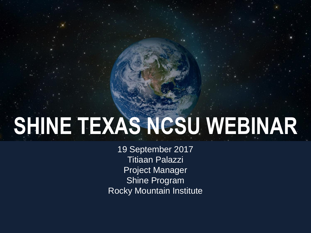# **SHINE TEXAS NCSU WEBINAR**

19 September 2017 Titiaan Palazzi Project Manager Shine Program Rocky Mountain Institute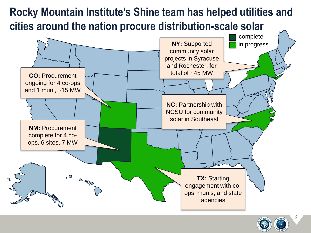## **Rocky Mountain Institute's Shine team has helped utilities and cities around the nation procure distribution-scale solar**



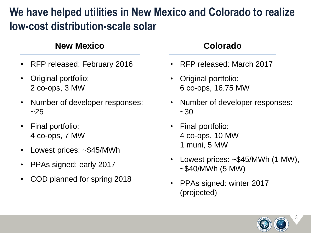### **We have helped utilities in New Mexico and Colorado to realize low-cost distribution-scale solar**

### **New Mexico Colorado**

- RFP released: February 2016
- Original portfolio: 2 co-ops, 3 MW
- Number of developer responses:  $~25$
- Final portfolio: 4 co-ops, 7 MW
- Lowest prices: ~\$45/MWh
- PPAs signed: early 2017
- COD planned for spring 2018

- RFP released: March 2017
- Original portfolio: 6 co-ops, 16.75 MW
- Number of developer responses:  $~1 - 30$
- Final portfolio: 4 co-ops, 10 MW 1 muni, 5 MW
- Lowest prices: ~\$45/MWh (1 MW),  $~\sim$ \$40/MWh (5 MW)
- PPAs signed: winter 2017 (projected)

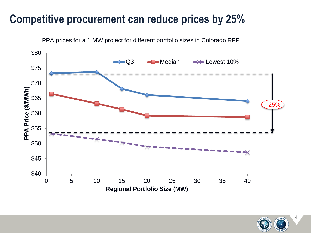### **Competitive procurement can reduce prices by 25%**



PPA prices for a 1 MW project for different portfolio sizes in Colorado RFP

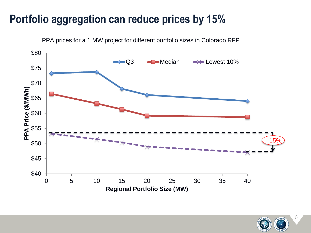### **Portfolio aggregation can reduce prices by 15%**



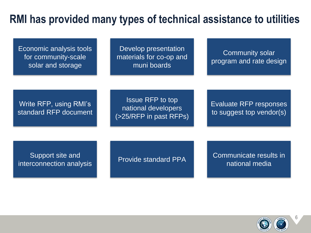### **RMI has provided many types of technical assistance to utilities**

| Economic analysis tools<br>for community-scale<br>solar and storage | Develop presentation<br>materials for co-op and<br>muni boards           | <b>Community solar</b><br>program and rate design         |
|---------------------------------------------------------------------|--------------------------------------------------------------------------|-----------------------------------------------------------|
| Write RFP, using RMI's<br>standard RFP document                     | <b>Issue RFP to top</b><br>national developers<br>(>25/RFP in past RFPs) | <b>Evaluate RFP responses</b><br>to suggest top vendor(s) |
| Support site and<br>interconnection analysis                        | <b>Provide standard PPA</b>                                              | Communicate results in<br>national media                  |